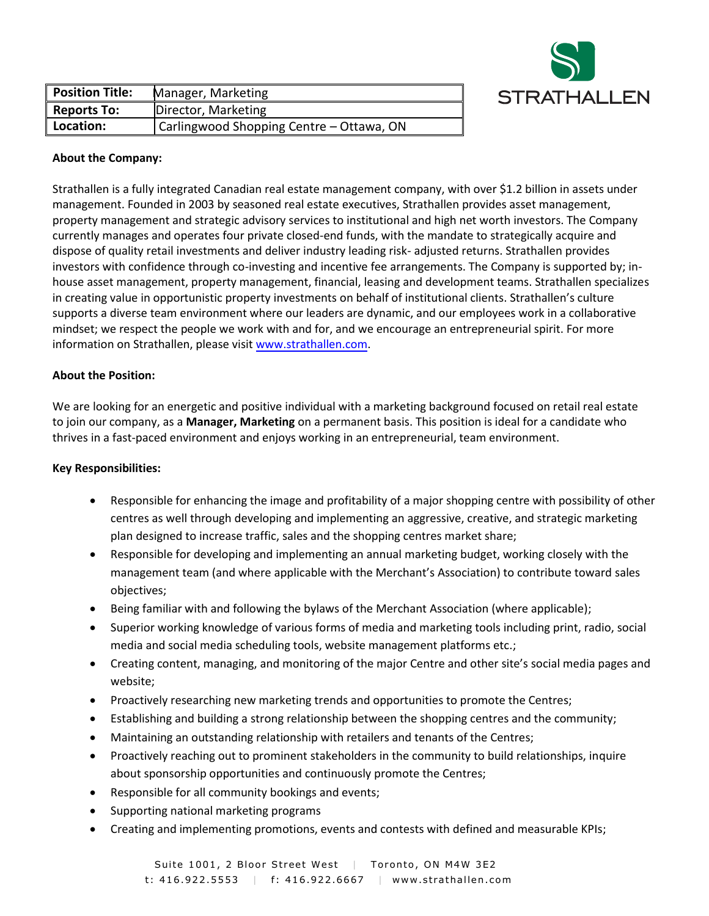

| <b>Position Title:</b> | Manager, Marketing                       |
|------------------------|------------------------------------------|
| <b>Reports To:</b>     | Director, Marketing                      |
| Location:              | Carlingwood Shopping Centre - Ottawa, ON |

## **About the Company:**

Strathallen is a fully integrated Canadian real estate management company, with over \$1.2 billion in assets under management. Founded in 2003 by seasoned real estate executives, Strathallen provides asset management, property management and strategic advisory services to institutional and high net worth investors. The Company currently manages and operates four private closed-end funds, with the mandate to strategically acquire and dispose of quality retail investments and deliver industry leading risk- adjusted returns. Strathallen provides investors with confidence through co-investing and incentive fee arrangements. The Company is supported by; inhouse asset management, property management, financial, leasing and development teams. Strathallen specializes in creating value in opportunistic property investments on behalf of institutional clients. Strathallen's culture supports a diverse team environment where our leaders are dynamic, and our employees work in a collaborative mindset; we respect the people we work with and for, and we encourage an entrepreneurial spirit. For more information on Strathallen, please visit [www.strathallen.com.](http://www.strathallen.com/)

## **About the Position:**

We are looking for an energetic and positive individual with a marketing background focused on retail real estate to join our company, as a **Manager, Marketing** on a permanent basis. This position is ideal for a candidate who thrives in a fast-paced environment and enjoys working in an entrepreneurial, team environment.

## **Key Responsibilities:**

- Responsible for enhancing the image and profitability of a major shopping centre with possibility of other centres as well through developing and implementing an aggressive, creative, and strategic marketing plan designed to increase traffic, sales and the shopping centres market share;
- Responsible for developing and implementing an annual marketing budget, working closely with the management team (and where applicable with the Merchant's Association) to contribute toward sales objectives;
- Being familiar with and following the bylaws of the Merchant Association (where applicable);
- Superior working knowledge of various forms of media and marketing tools including print, radio, social media and social media scheduling tools, website management platforms etc.;
- Creating content, managing, and monitoring of the major Centre and other site's social media pages and website;
- Proactively researching new marketing trends and opportunities to promote the Centres;
- Establishing and building a strong relationship between the shopping centres and the community;
- Maintaining an outstanding relationship with retailers and tenants of the Centres;
- Proactively reaching out to prominent stakeholders in the community to build relationships, inquire about sponsorship opportunities and continuously promote the Centres;
- Responsible for all community bookings and events;
- Supporting national marketing programs
- Creating and implementing promotions, events and contests with defined and measurable KPIs;